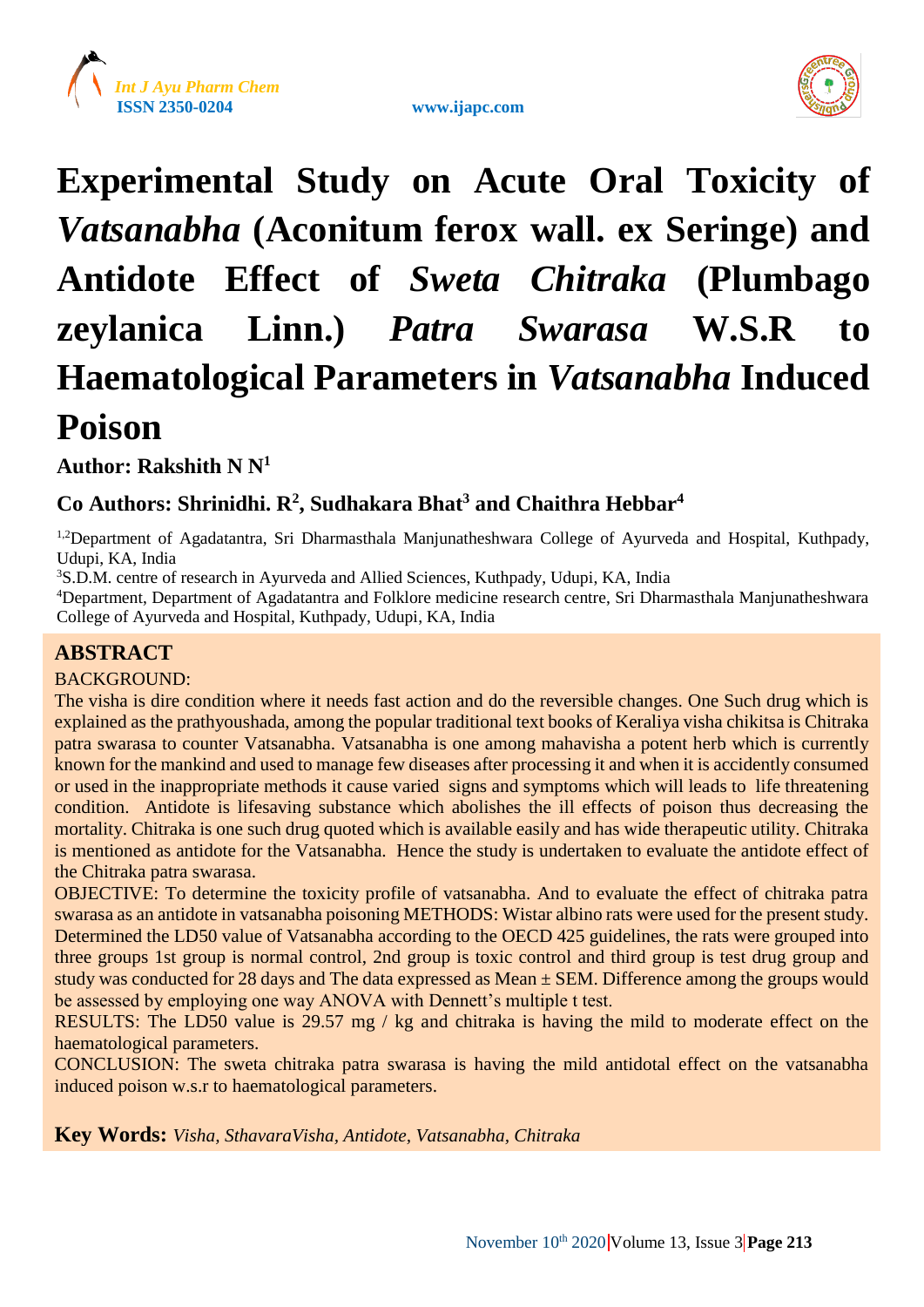





# **Experimental Study on Acute Oral Toxicity of**  *Vatsanabha* **(Aconitum ferox wall. ex Seringe) and Antidote Effect of** *Sweta Chitraka* **(Plumbago zeylanica Linn.)** *Patra Swarasa* **W.S.R to Haematological Parameters in** *Vatsanabha* **Induced Poison**

**Author: Rakshith N N<sup>1</sup>**

# **Co Authors: Shrinidhi. R<sup>2</sup> , Sudhakara Bhat<sup>3</sup> and Chaithra Hebbar<sup>4</sup>**

<sup>1,2</sup>Department of Agadatantra, Sri Dharmasthala Manjunatheshwara College of Ayurveda and Hospital, Kuthpady, Udupi, KA, India

<sup>3</sup>S.D.M. centre of research in Ayurveda and Allied Sciences, Kuthpady, Udupi, KA, India

<sup>4</sup>Department, Department of Agadatantra and Folklore medicine research centre, Sri Dharmasthala Manjunatheshwara College of Ayurveda and Hospital, Kuthpady, Udupi, KA, India

# **ABSTRACT**

# BACKGROUND:

The visha is dire condition where it needs fast action and do the reversible changes. One Such drug which is explained as the prathyoushada, among the popular traditional text books of Keraliya visha chikitsa is Chitraka patra swarasa to counter Vatsanabha. Vatsanabha is one among mahavisha a potent herb which is currently known for the mankind and used to manage few diseases after processing it and when it is accidently consumed or used in the inappropriate methods it cause varied signs and symptoms which will leads to life threatening condition. Antidote is lifesaving substance which abolishes the ill effects of poison thus decreasing the mortality. Chitraka is one such drug quoted which is available easily and has wide therapeutic utility. Chitraka is mentioned as antidote for the Vatsanabha. Hence the study is undertaken to evaluate the antidote effect of the Chitraka patra swarasa.

OBJECTIVE: To determine the toxicity profile of vatsanabha. And to evaluate the effect of chitraka patra swarasa as an antidote in vatsanabha poisoning METHODS: Wistar albino rats were used for the present study. Determined the LD50 value of Vatsanabha according to the OECD 425 guidelines, the rats were grouped into three groups 1st group is normal control, 2nd group is toxic control and third group is test drug group and study was conducted for 28 days and The data expressed as Mean ± SEM. Difference among the groups would be assessed by employing one way ANOVA with Dennett's multiple t test.

RESULTS: The LD50 value is 29.57 mg / kg and chitraka is having the mild to moderate effect on the haematological parameters.

CONCLUSION: The sweta chitraka patra swarasa is having the mild antidotal effect on the vatsanabha induced poison w.s.r to haematological parameters.

**Key Words:** *Visha, SthavaraVisha, Antidote, Vatsanabha, Chitraka*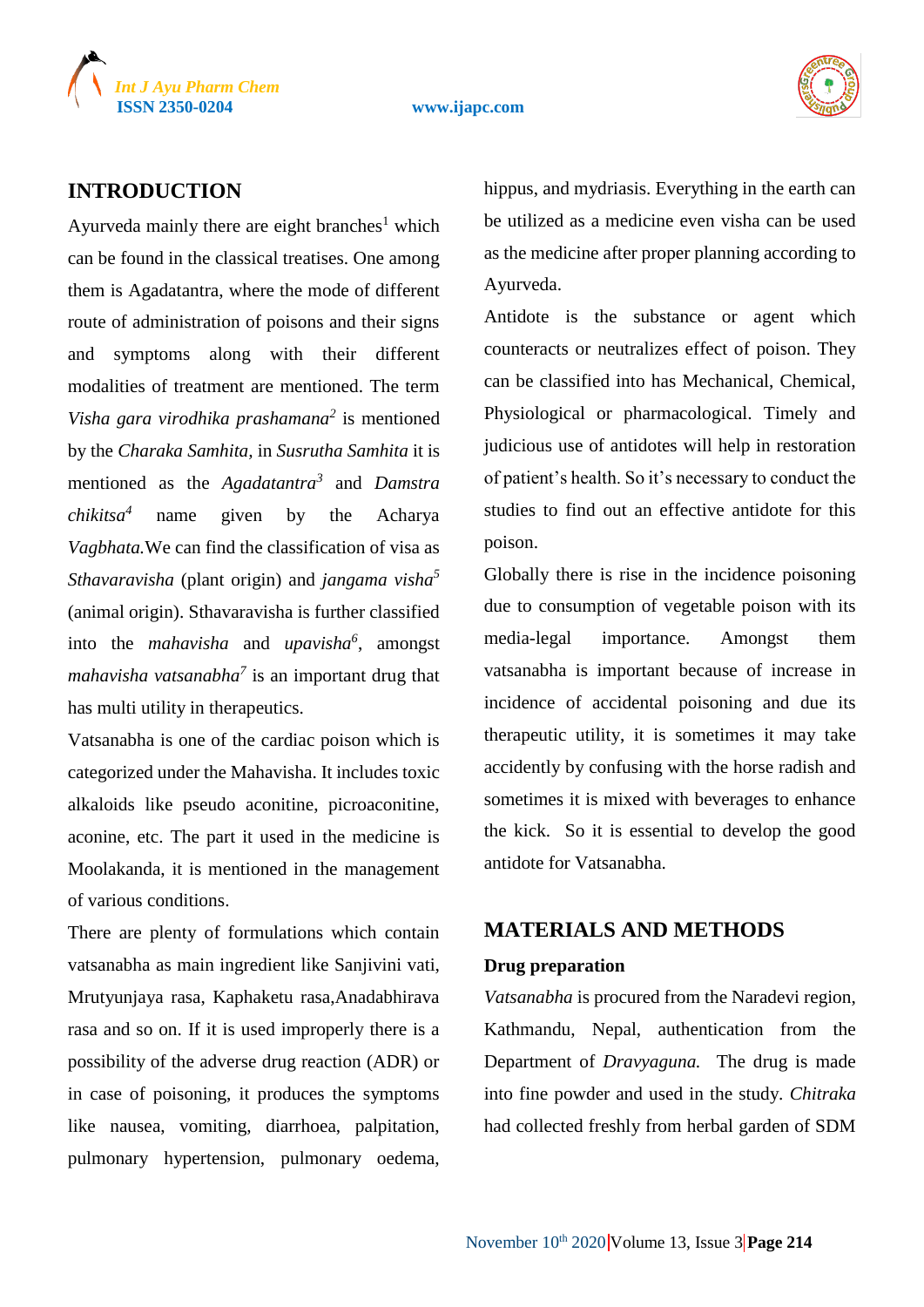



# **INTRODUCTION**

Ayurveda mainly there are eight branches<sup>1</sup> which can be found in the classical treatises. One among them is Agadatantra, where the mode of different route of administration of poisons and their signs and symptoms along with their different modalities of treatment are mentioned. The term *Visha gara virodhika prashamana<sup>2</sup>* is mentioned by the *Charaka Samhita,* in *Susrutha Samhita* it is mentioned as the *Agadatantra<sup>3</sup>* and *Damstra chikitsa<sup>4</sup>* name given by the Acharya *Vagbhata.*We can find the classification of visa as *Sthavaravisha* (plant origin) and *jangama visha<sup>5</sup>* (animal origin). Sthavaravisha is further classified into the *mahavisha* and *upavisha<sup>6</sup>* , amongst *mahavisha vatsanabha<sup>7</sup>* is an important drug that has multi utility in therapeutics.

Vatsanabha is one of the cardiac poison which is categorized under the Mahavisha. It includes toxic alkaloids like pseudo aconitine, picroaconitine, aconine, etc. The part it used in the medicine is Moolakanda, it is mentioned in the management of various conditions.

There are plenty of formulations which contain vatsanabha as main ingredient like Sanjivini vati, Mrutyunjaya rasa, Kaphaketu rasa,Anadabhirava rasa and so on. If it is used improperly there is a possibility of the adverse drug reaction (ADR) or in case of poisoning, it produces the symptoms like nausea, vomiting, diarrhoea, palpitation, pulmonary hypertension, pulmonary oedema, hippus, and mydriasis. Everything in the earth can be utilized as a medicine even visha can be used as the medicine after proper planning according to Ayurveda.

Antidote is the substance or agent which counteracts or neutralizes effect of poison. They can be classified into has Mechanical, Chemical, Physiological or pharmacological. Timely and judicious use of antidotes will help in restoration of patient's health. So it's necessary to conduct the studies to find out an effective antidote for this poison.

Globally there is rise in the incidence poisoning due to consumption of vegetable poison with its media-legal importance. Amongst them vatsanabha is important because of increase in incidence of accidental poisoning and due its therapeutic utility, it is sometimes it may take accidently by confusing with the horse radish and sometimes it is mixed with beverages to enhance the kick. So it is essential to develop the good antidote for Vatsanabha.

# **MATERIALS AND METHODS**

#### **Drug preparation**

*Vatsanabha* is procured from the Naradevi region, Kathmandu, Nepal, authentication from the Department of *Dravyaguna.* The drug is made into fine powder and used in the study. *Chitraka*  had collected freshly from herbal garden of SDM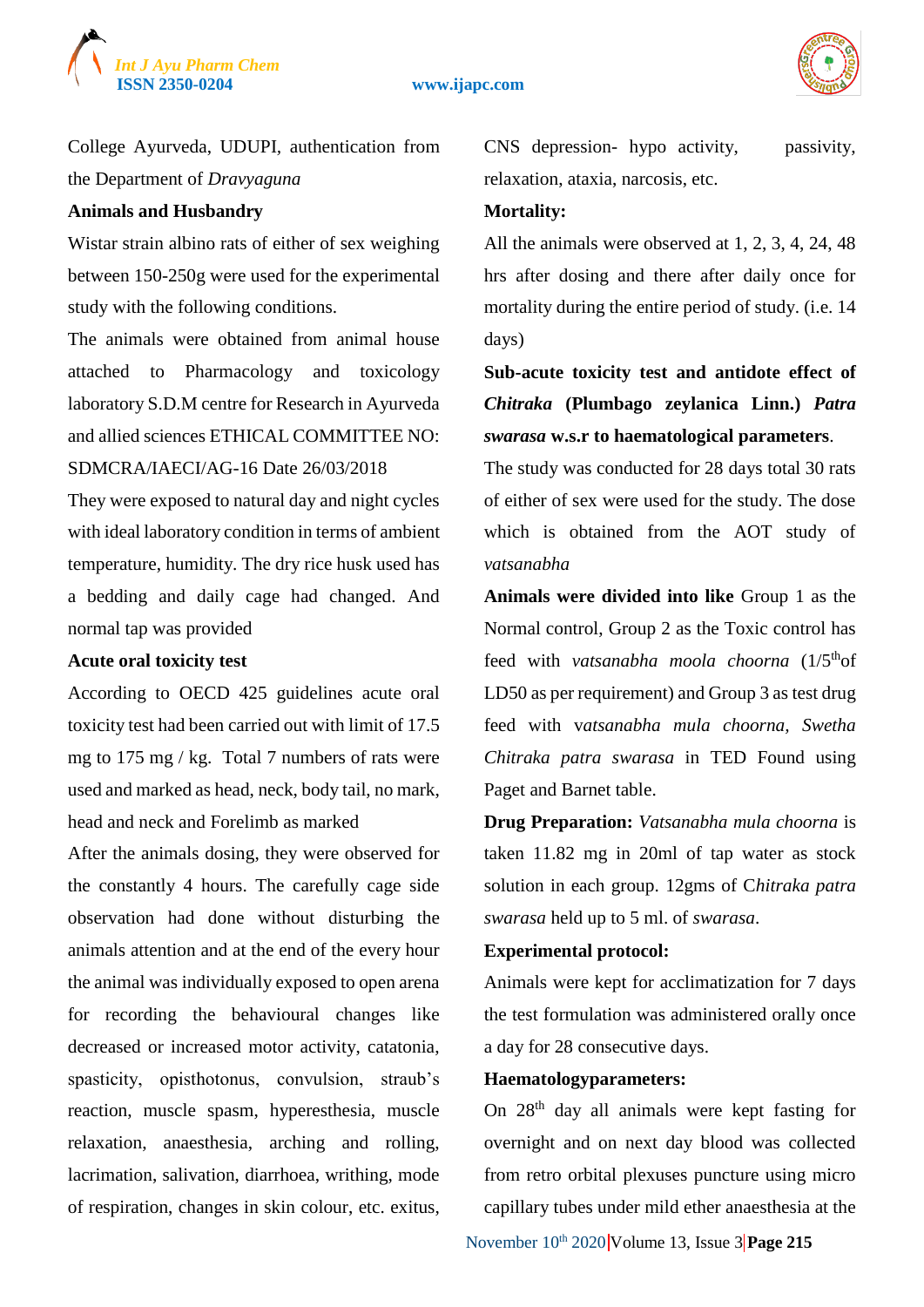

#### **ISSN 2350-0204 www.ijapc.com**



College Ayurveda, UDUPI*,* authentication from the Department of *Dravyaguna*

#### **Animals and Husbandry**

Wistar strain albino rats of either of sex weighing between 150-250g were used for the experimental study with the following conditions.

The animals were obtained from animal house attached to Pharmacology and toxicology laboratory S.D.M centre for Research in Ayurveda and allied sciences ETHICAL COMMITTEE NO: SDMCRA/IAECI/AG-16 Date 26/03/2018

They were exposed to natural day and night cycles with ideal laboratory condition in terms of ambient temperature, humidity. The dry rice husk used has a bedding and daily cage had changed. And normal tap was provided

#### **Acute oral toxicity test**

According to OECD 425 guidelines acute oral toxicity test had been carried out with limit of 17.5 mg to 175 mg / kg. Total 7 numbers of rats were used and marked as head, neck, body tail, no mark, head and neck and Forelimb as marked

After the animals dosing, they were observed for the constantly 4 hours. The carefully cage side observation had done without disturbing the animals attention and at the end of the every hour the animal was individually exposed to open arena for recording the behavioural changes like decreased or increased motor activity, catatonia, spasticity, opisthotonus, convulsion, straub's reaction, muscle spasm, hyperesthesia, muscle relaxation, anaesthesia, arching and rolling, lacrimation, salivation, diarrhoea, writhing, mode of respiration, changes in skin colour, etc. exitus, CNS depression- hypo activity, passivity, relaxation, ataxia, narcosis, etc.

#### **Mortality:**

All the animals were observed at 1, 2, 3, 4, 24, 48 hrs after dosing and there after daily once for mortality during the entire period of study. (i.e. 14 days)

**Sub-acute toxicity test and antidote effect of**  *Chitraka* **(Plumbago zeylanica Linn.)** *Patra swarasa* **w.s.r to haematological parameters**.

The study was conducted for 28 days total 30 rats of either of sex were used for the study. The dose which is obtained from the AOT study of *vatsanabha*

**Animals were divided into like** Group 1 as the Normal control, Group 2 as the Toxic control has feed with *vatsanabha moola choorna* (1/5<sup>th</sup>of LD50 as per requirement) and Group 3 as test drug feed with v*atsanabha mula choorna, Swetha Chitraka patra swarasa* in TED Found using Paget and Barnet table.

**Drug Preparation:** *Vatsanabha mula choorna* is taken 11.82 mg in 20ml of tap water as stock solution in each group. 12gms of C*hitraka patra swarasa* held up to 5 ml. of *swarasa*.

#### **Experimental protocol:**

Animals were kept for acclimatization for 7 days the test formulation was administered orally once a day for 28 consecutive days.

# **Haematologyparameters:**

On 28th day all animals were kept fasting for overnight and on next day blood was collected from retro orbital plexuses puncture using micro capillary tubes under mild ether anaesthesia at the

November 10<sup>th</sup> 2020 Volume 13, Issue 3 **Page 215**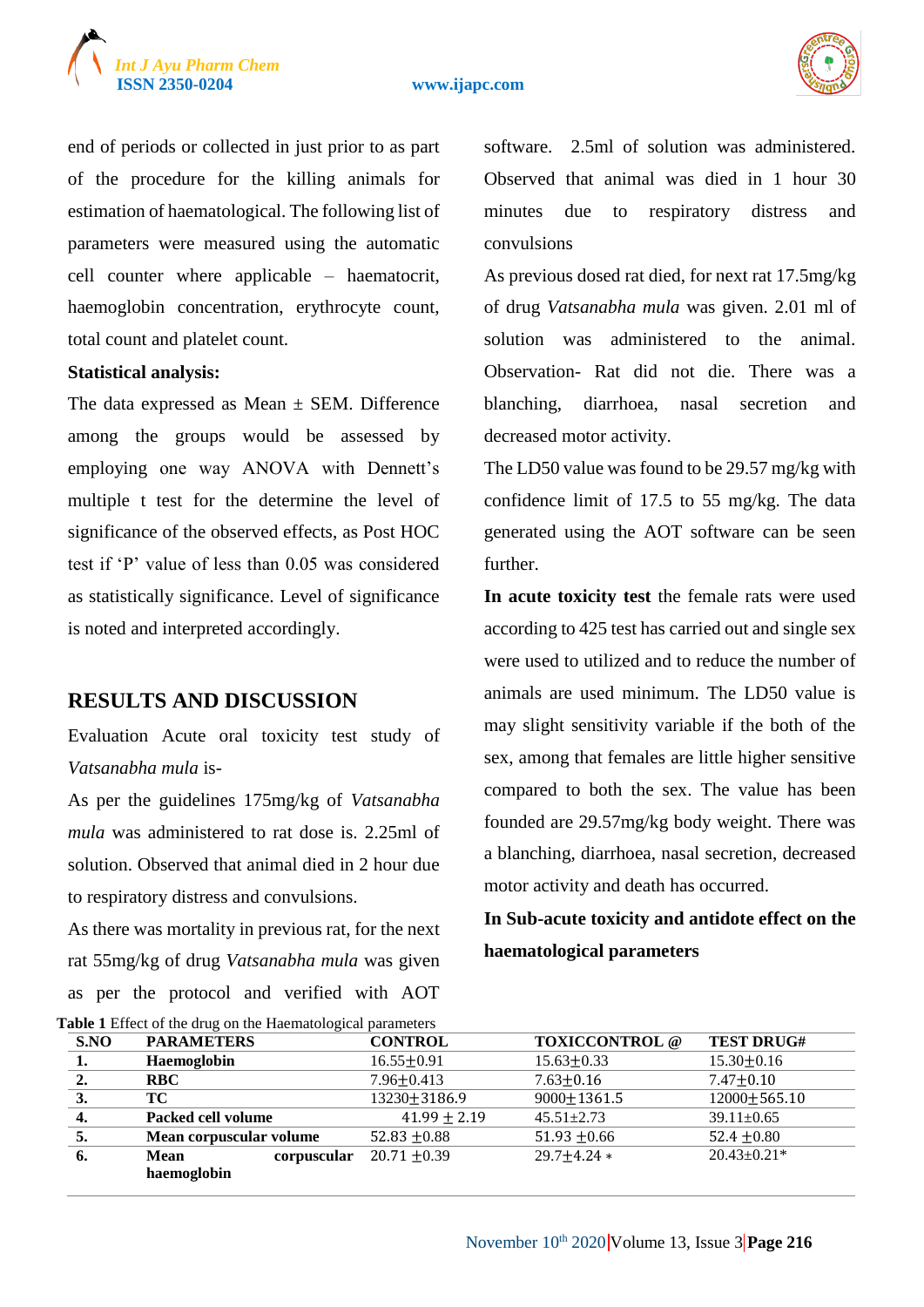



end of periods or collected in just prior to as part of the procedure for the killing animals for estimation of haematological. The following list of parameters were measured using the automatic cell counter where applicable – haematocrit, haemoglobin concentration, erythrocyte count, total count and platelet count.

#### **Statistical analysis:**

The data expressed as Mean  $\pm$  SEM. Difference among the groups would be assessed by employing one way ANOVA with Dennett's multiple t test for the determine the level of significance of the observed effects, as Post HOC test if 'P' value of less than 0.05 was considered as statistically significance. Level of significance is noted and interpreted accordingly.

# **RESULTS AND DISCUSSION**

Evaluation Acute oral toxicity test study of *Vatsanabha mula* is-

As per the guidelines 175mg/kg of *Vatsanabha mula* was administered to rat dose is. 2.25ml of solution. Observed that animal died in 2 hour due to respiratory distress and convulsions.

As there was mortality in previous rat, for the next rat 55mg/kg of drug *Vatsanabha mula* was given as per the protocol and verified with AOT

software. 2.5ml of solution was administered. Observed that animal was died in 1 hour 30 minutes due to respiratory distress and convulsions

As previous dosed rat died, for next rat 17.5mg/kg of drug *Vatsanabha mula* was given. 2.01 ml of solution was administered to the animal. Observation- Rat did not die. There was a blanching, diarrhoea, nasal secretion and decreased motor activity.

The LD50 value was found to be 29.57 mg/kg with confidence limit of 17.5 to 55 mg/kg. The data generated using the AOT software can be seen further.

**In acute toxicity test** the female rats were used according to 425 test has carried out and single sex were used to utilized and to reduce the number of animals are used minimum. The LD50 value is may slight sensitivity variable if the both of the sex, among that females are little higher sensitive compared to both the sex. The value has been founded are 29.57mg/kg body weight. There was a blanching, diarrhoea, nasal secretion, decreased motor activity and death has occurred.

**In Sub-acute toxicity and antidote effect on the haematological parameters**

| Table 1 Effect of the drug on the Haematological parameters |                            |                  |                       |                    |  |  |  |
|-------------------------------------------------------------|----------------------------|------------------|-----------------------|--------------------|--|--|--|
| S.NO                                                        | <b>PARAMETERS</b>          | <b>CONTROL</b>   | <b>TOXICCONTROL</b> @ | <b>TEST DRUG#</b>  |  |  |  |
| 1.                                                          | Haemoglobin                | $16.55 \pm 0.91$ | $15.63 \pm 0.33$      | $15.30 \pm 0.16$   |  |  |  |
| 2.                                                          | <b>RBC</b>                 | $7.96 \pm 0.413$ | $7.63 \pm 0.16$       | $7.47 \pm 0.10$    |  |  |  |
| 3.                                                          | TС                         | 13230±3186.9     | $9000 \pm 1361.5$     | $12000 \pm 565.10$ |  |  |  |
| $\boldsymbol{4}$ .                                          | Packed cell volume         | $41.99 \pm 2.19$ | $45.51 \pm 2.73$      | $39.11 \pm 0.65$   |  |  |  |
|                                                             | Mean corpuscular volume    | 52.83 $\pm$ 0.88 | 51.93 $\pm 0.66$      | 52.4 $\pm$ 0.80    |  |  |  |
| 6.                                                          | <b>Mean</b><br>corpuscular | $20.71 \pm 0.39$ | $29.7 + 4.24 *$       | $20.43 \pm 0.21*$  |  |  |  |
|                                                             | haemoglobin                |                  |                       |                    |  |  |  |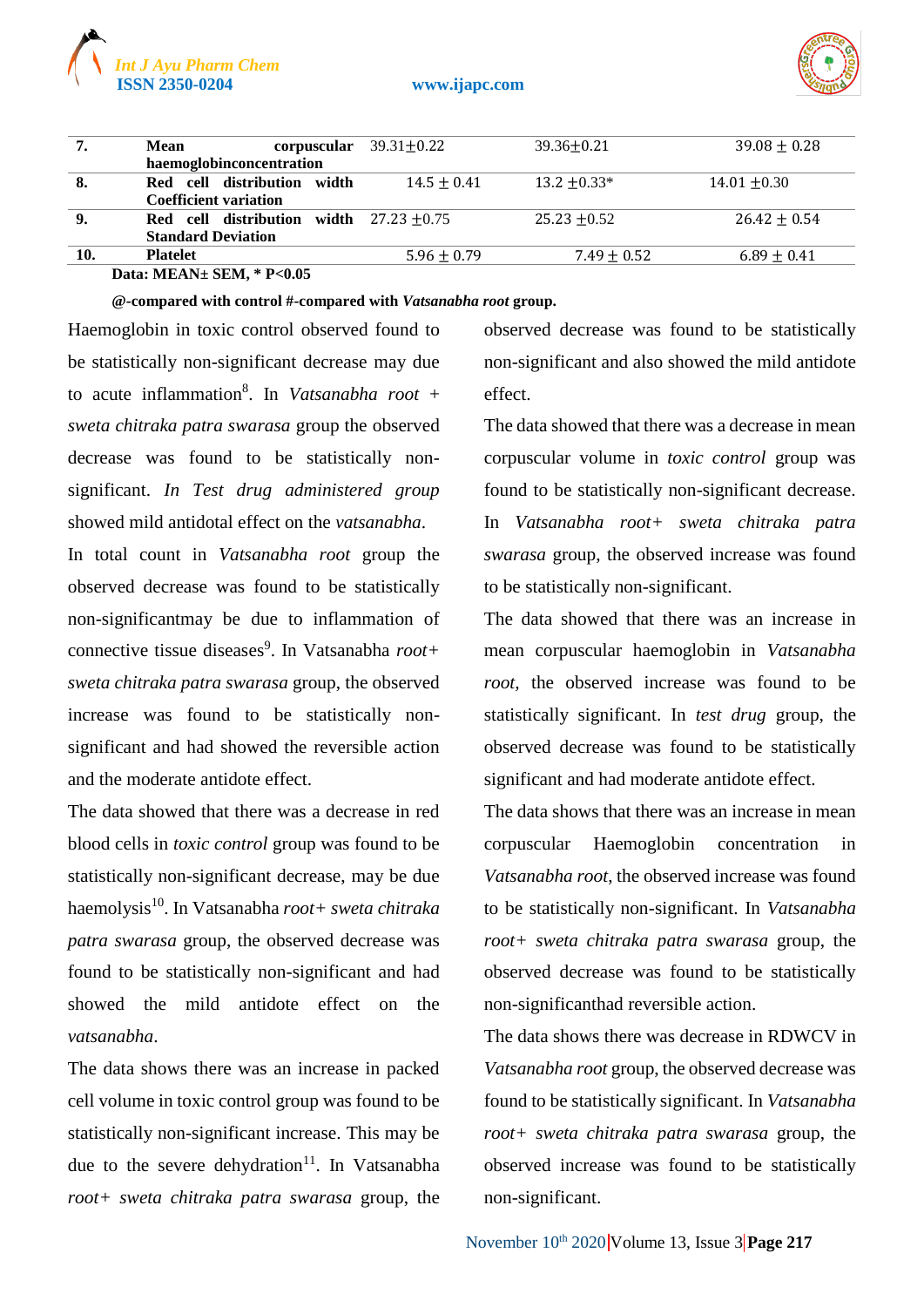

#### **ISSN 2350-0204 www.ijapc.com**



| 7.  | Mean                                             | corpuscular $39.31 \pm 0.22$ | $39.36 + 0.21$  | $39.08 + 0.28$  |  |  |
|-----|--------------------------------------------------|------------------------------|-----------------|-----------------|--|--|
|     | haemoglobinconcentration                         |                              |                 |                 |  |  |
| 8.  | Red cell distribution width                      | $14.5 + 0.41$                | $13.2 + 0.33*$  | $14.01 + 0.30$  |  |  |
|     | <b>Coefficient variation</b>                     |                              |                 |                 |  |  |
| 9.  | <b>Red</b> cell distribution width $27.23 +0.75$ |                              | $25.23 + 0.52$  | $26.42 + 0.54$  |  |  |
|     | <b>Standard Deviation</b>                        |                              |                 |                 |  |  |
| 10. | <b>Platelet</b>                                  | $5.96 + 0.79$                | $7.49 \pm 0.52$ | $6.89 \pm 0.41$ |  |  |
|     |                                                  |                              |                 |                 |  |  |

**Data: MEAN± SEM, \* P<0.05**

**@-compared with control #-compared with** *Vatsanabha root* **group.**

Haemoglobin in toxic control observed found to be statistically non-significant decrease may due to acute inflammation<sup>8</sup> . In *Vatsanabha root* + *sweta chitraka patra swarasa* group the observed decrease was found to be statistically nonsignificant. *In Test drug administered group* showed mild antidotal effect on the *vatsanabha*.

In total count in *Vatsanabha root* group the observed decrease was found to be statistically non-significantmay be due to inflammation of connective tissue diseases<sup>9</sup>. In Vatsanabha *root*+ *sweta chitraka patra swarasa* group, the observed increase was found to be statistically nonsignificant and had showed the reversible action and the moderate antidote effect.

The data showed that there was a decrease in red blood cells in *toxic control* group was found to be statistically non-significant decrease, may be due haemolysis<sup>10</sup>. In Vatsanabha *root+ sweta chitraka patra swarasa* group, the observed decrease was found to be statistically non-significant and had showed the mild antidote effect on the *vatsanabha*.

The data shows there was an increase in packed cell volume in toxic control group was found to be statistically non-significant increase. This may be due to the severe dehydration<sup>11</sup>. In Vatsanabha *root+ sweta chitraka patra swarasa* group, the observed decrease was found to be statistically non-significant and also showed the mild antidote effect.

The data showed that there was a decrease in mean corpuscular volume in *toxic control* group was found to be statistically non-significant decrease. In *Vatsanabha root+ sweta chitraka patra swarasa* group, the observed increase was found to be statistically non-significant.

The data showed that there was an increase in mean corpuscular haemoglobin in *Vatsanabha root,* the observed increase was found to be statistically significant. In *test drug* group, the observed decrease was found to be statistically significant and had moderate antidote effect.

The data shows that there was an increase in mean corpuscular Haemoglobin concentration in *Vatsanabha root*, the observed increase was found to be statistically non-significant. In *Vatsanabha root+ sweta chitraka patra swarasa* group, the observed decrease was found to be statistically non-significanthad reversible action.

The data shows there was decrease in RDWCV in *Vatsanabha root* group, the observed decrease was found to be statistically significant. In *Vatsanabha root+ sweta chitraka patra swarasa* group, the observed increase was found to be statistically non-significant.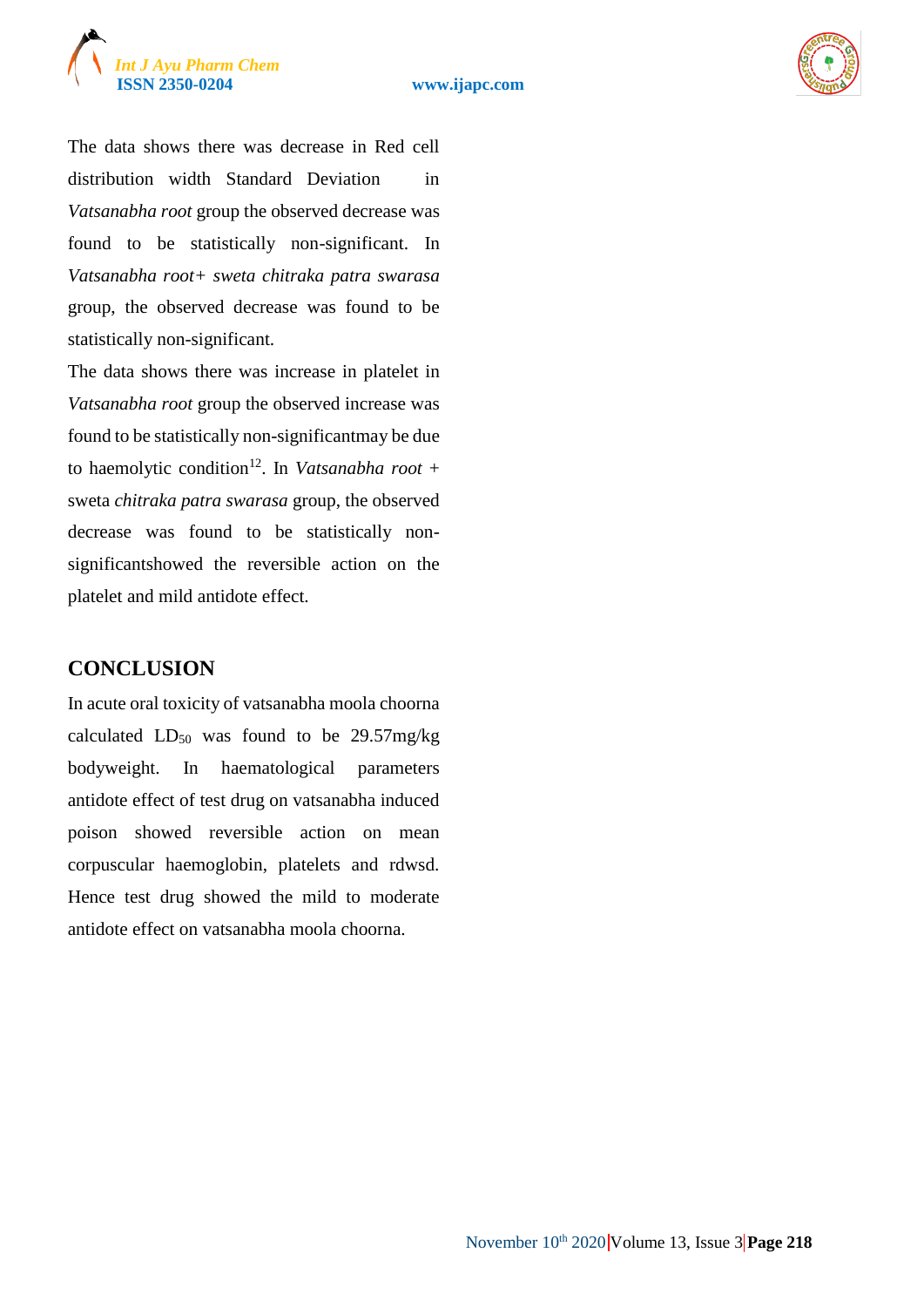



The data shows there was decrease in Red cell distribution width Standard Deviation in *Vatsanabha root* group the observed decrease was found to be statistically non-significant. In *Vatsanabha root+ sweta chitraka patra swarasa* group, the observed decrease was found to be statistically non-significant.

The data shows there was increase in platelet in *Vatsanabha root* group the observed increase was found to be statistically non-significantmay be due to haemolytic condition<sup>12</sup>. In *Vatsanabha root* + sweta *chitraka patra swarasa* group, the observed decrease was found to be statistically nonsignificantshowed the reversible action on the platelet and mild antidote effect.

# **CONCLUSION**

In acute oral toxicity of vatsanabha moola choorna calculated  $LD_{50}$  was found to be 29.57mg/kg bodyweight. In haematological parameters antidote effect of test drug on vatsanabha induced poison showed reversible action on mean corpuscular haemoglobin, platelets and rdwsd. Hence test drug showed the mild to moderate antidote effect on vatsanabha moola choorna.